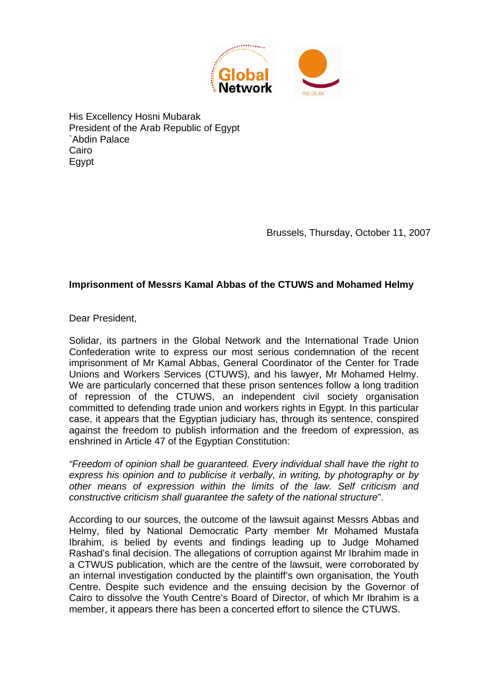

His Excellency Hosni Mubarak President of the Arab Republic of Egypt `Abdin Palace Cairo Egypt

Brussels, Thursday, October 11, 2007

## **Imprisonment of Messrs Kamal Abbas of the CTUWS and Mohamed Helmy**

Dear President,

Solidar, its partners in the Global Network and the International Trade Union Confederation write to express our most serious condemnation of the recent imprisonment of Mr Kamal Abbas, General Coordinator of the Center for Trade Unions and Workers Services (CTUWS), and his lawyer, Mr Mohamed Helmy. We are particularly concerned that these prison sentences follow a long tradition of repression of the CTUWS, an independent civil society organisation committed to defending trade union and workers rights in Egypt. In this particular case, it appears that the Egyptian judiciary has, through its sentence, conspired against the freedom to publish information and the freedom of expression, as enshrined in Article 47 of the Egyptian Constitution:

*"Freedom of opinion shall be guaranteed. Every individual shall have the right to express his opinion and to publicise it verbally, in writing, by photography or by other means of expression within the limits of the law. Self criticism and constructive criticism shall guarantee the safety of the national structure*".

According to our sources, the outcome of the lawsuit against Messrs Abbas and Helmy, filed by National Democratic Party member Mr Mohamed Mustafa Ibrahim, is belied by events and findings leading up to Judge Mohamed Rashad's final decision. The allegations of corruption against Mr Ibrahim made in a CTWUS publication, which are the centre of the lawsuit, were corroborated by an internal investigation conducted by the plaintiff's own organisation, the Youth Centre. Despite such evidence and the ensuing decision by the Governor of Cairo to dissolve the Youth Centre's Board of Director, of which Mr Ibrahim is a member, it appears there has been a concerted effort to silence the CTUWS.